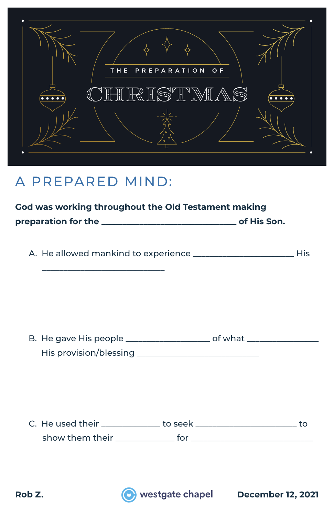

## A PREPARED MIND:

 $\frac{1}{\sqrt{2}}$  ,  $\frac{1}{\sqrt{2}}$  ,  $\frac{1}{\sqrt{2}}$  ,  $\frac{1}{\sqrt{2}}$  ,  $\frac{1}{\sqrt{2}}$  ,  $\frac{1}{\sqrt{2}}$  ,  $\frac{1}{\sqrt{2}}$  ,  $\frac{1}{\sqrt{2}}$  ,  $\frac{1}{\sqrt{2}}$  ,  $\frac{1}{\sqrt{2}}$  ,  $\frac{1}{\sqrt{2}}$  ,  $\frac{1}{\sqrt{2}}$  ,  $\frac{1}{\sqrt{2}}$  ,  $\frac{1}{\sqrt{2}}$  ,  $\frac{1}{\sqrt{2}}$ 

|                     | God was working throughout the Old Testament making |
|---------------------|-----------------------------------------------------|
| preparation for the | of His Son.                                         |

| A. He allowed mankind to experience |  |
|-------------------------------------|--|
|-------------------------------------|--|

| B. He gave His people  | of what |
|------------------------|---------|
| His provision/blessing |         |

| C. He used their |  |
|------------------|--|
| show them their  |  |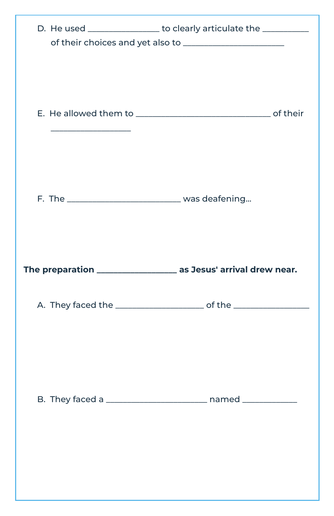| D. He used _________________ to clearly articulate the __________                |
|----------------------------------------------------------------------------------|
|                                                                                  |
|                                                                                  |
| The preparation __________________ as Jesus' arrival drew near.                  |
| A. They faced the _____________________________ of the _________________________ |
|                                                                                  |
|                                                                                  |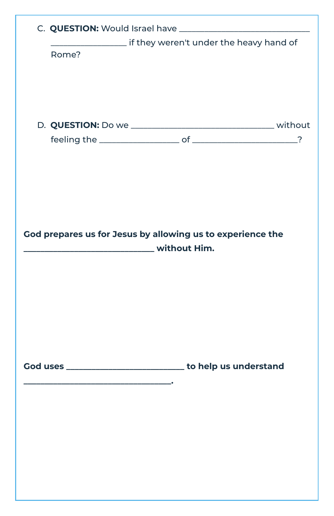| Rome? |                                                                                                                            |  |
|-------|----------------------------------------------------------------------------------------------------------------------------|--|
|       |                                                                                                                            |  |
|       |                                                                                                                            |  |
|       |                                                                                                                            |  |
|       | God prepares us for Jesus by allowing us to experience the<br><b>Example 2 The Union Service Contract Contract Primers</b> |  |
|       |                                                                                                                            |  |
|       |                                                                                                                            |  |
|       |                                                                                                                            |  |
|       |                                                                                                                            |  |
|       | God uses ________________________________ to help us understand                                                            |  |
|       |                                                                                                                            |  |
|       |                                                                                                                            |  |